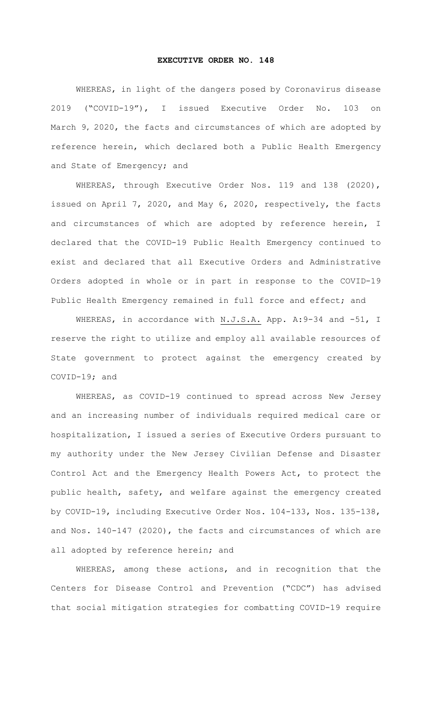## **EXECUTIVE ORDER NO. 148**

WHEREAS, in light of the dangers posed by Coronavirus disease 2019 ("COVID-19"), I issued Executive Order No. 103 on March 9, 2020, the facts and circumstances of which are adopted by reference herein, which declared both a Public Health Emergency and State of Emergency; and

WHEREAS, through Executive Order Nos. 119 and 138 (2020), issued on April 7, 2020, and May 6, 2020, respectively, the facts and circumstances of which are adopted by reference herein, I declared that the COVID-19 Public Health Emergency continued to exist and declared that all Executive Orders and Administrative Orders adopted in whole or in part in response to the COVID-19 Public Health Emergency remained in full force and effect; and

WHEREAS, in accordance with N.J.S.A. App. A: 9-34 and -51, I reserve the right to utilize and employ all available resources of State government to protect against the emergency created by COVID-19; and

WHEREAS, as COVID-19 continued to spread across New Jersey and an increasing number of individuals required medical care or hospitalization, I issued a series of Executive Orders pursuant to my authority under the New Jersey Civilian Defense and Disaster Control Act and the Emergency Health Powers Act, to protect the public health, safety, and welfare against the emergency created by COVID-19, including Executive Order Nos. 104-133, Nos. 135-138, and Nos. 140-147 (2020), the facts and circumstances of which are all adopted by reference herein; and

WHEREAS, among these actions, and in recognition that the Centers for Disease Control and Prevention ("CDC") has advised that social mitigation strategies for combatting COVID-19 require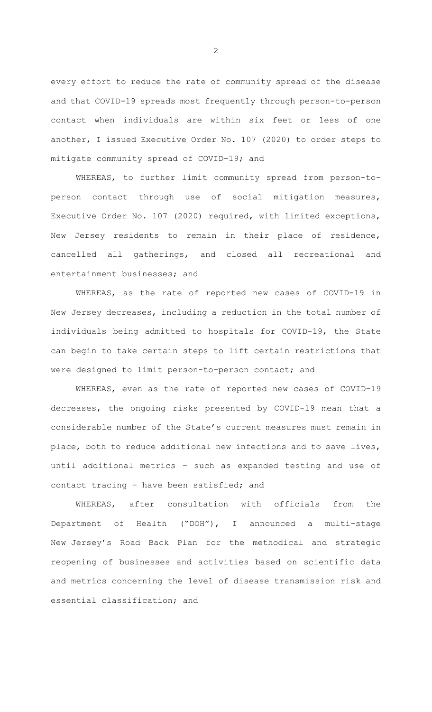every effort to reduce the rate of community spread of the disease and that COVID-19 spreads most frequently through person-to-person contact when individuals are within six feet or less of one another, I issued Executive Order No. 107 (2020) to order steps to mitigate community spread of COVID-19; and

WHEREAS, to further limit community spread from person-toperson contact through use of social mitigation measures, Executive Order No. 107 (2020) required, with limited exceptions, New Jersey residents to remain in their place of residence, cancelled all gatherings, and closed all recreational and entertainment businesses; and

WHEREAS, as the rate of reported new cases of COVID-19 in New Jersey decreases, including a reduction in the total number of individuals being admitted to hospitals for COVID-19, the State can begin to take certain steps to lift certain restrictions that were designed to limit person-to-person contact; and

WHEREAS, even as the rate of reported new cases of COVID-19 decreases, the ongoing risks presented by COVID-19 mean that a considerable number of the State's current measures must remain in place, both to reduce additional new infections and to save lives, until additional metrics – such as expanded testing and use of contact tracing – have been satisfied; and

WHEREAS, after consultation with officials from the Department of Health ("DOH"), I announced a multi-stage New Jersey's Road Back Plan for the methodical and strategic reopening of businesses and activities based on scientific data and metrics concerning the level of disease transmission risk and essential classification; and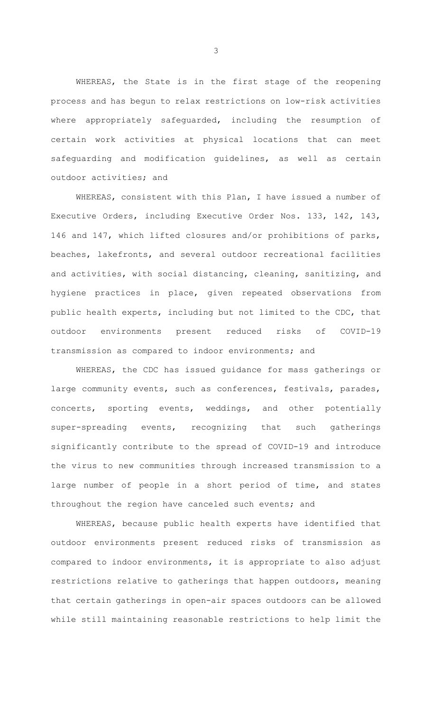WHEREAS, the State is in the first stage of the reopening process and has begun to relax restrictions on low-risk activities where appropriately safeguarded, including the resumption of certain work activities at physical locations that can meet safeguarding and modification guidelines, as well as certain outdoor activities; and

WHEREAS, consistent with this Plan, I have issued a number of Executive Orders, including Executive Order Nos. 133, 142, 143, 146 and 147, which lifted closures and/or prohibitions of parks, beaches, lakefronts, and several outdoor recreational facilities and activities, with social distancing, cleaning, sanitizing, and hygiene practices in place, given repeated observations from public health experts, including but not limited to the CDC, that outdoor environments present reduced risks of COVID-19 transmission as compared to indoor environments; and

WHEREAS, the CDC has issued guidance for mass gatherings or large community events, such as conferences, festivals, parades, concerts, sporting events, weddings, and other potentially super-spreading events, recognizing that such gatherings significantly contribute to the spread of COVID-19 and introduce the virus to new communities through increased transmission to a large number of people in a short period of time, and states throughout the region have canceled such events; and

WHEREAS, because public health experts have identified that outdoor environments present reduced risks of transmission as compared to indoor environments, it is appropriate to also adjust restrictions relative to gatherings that happen outdoors, meaning that certain gatherings in open-air spaces outdoors can be allowed while still maintaining reasonable restrictions to help limit the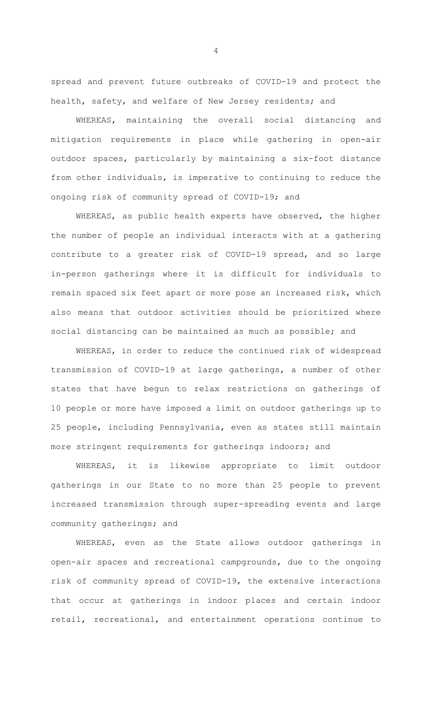spread and prevent future outbreaks of COVID-19 and protect the health, safety, and welfare of New Jersey residents; and

WHEREAS, maintaining the overall social distancing and mitigation requirements in place while gathering in open-air outdoor spaces, particularly by maintaining a six-foot distance from other individuals, is imperative to continuing to reduce the ongoing risk of community spread of COVID-19; and

WHEREAS, as public health experts have observed, the higher the number of people an individual interacts with at a gathering contribute to a greater risk of COVID-19 spread, and so large in-person gatherings where it is difficult for individuals to remain spaced six feet apart or more pose an increased risk, which also means that outdoor activities should be prioritized where social distancing can be maintained as much as possible; and

WHEREAS, in order to reduce the continued risk of widespread transmission of COVID-19 at large gatherings, a number of other states that have begun to relax restrictions on gatherings of 10 people or more have imposed a limit on outdoor gatherings up to 25 people, including Pennsylvania, even as states still maintain more stringent requirements for gatherings indoors; and

WHEREAS, it is likewise appropriate to limit outdoor gatherings in our State to no more than 25 people to prevent increased transmission through super-spreading events and large community gatherings; and

WHEREAS, even as the State allows outdoor gatherings in open-air spaces and recreational campgrounds, due to the ongoing risk of community spread of COVID-19, the extensive interactions that occur at gatherings in indoor places and certain indoor retail, recreational, and entertainment operations continue to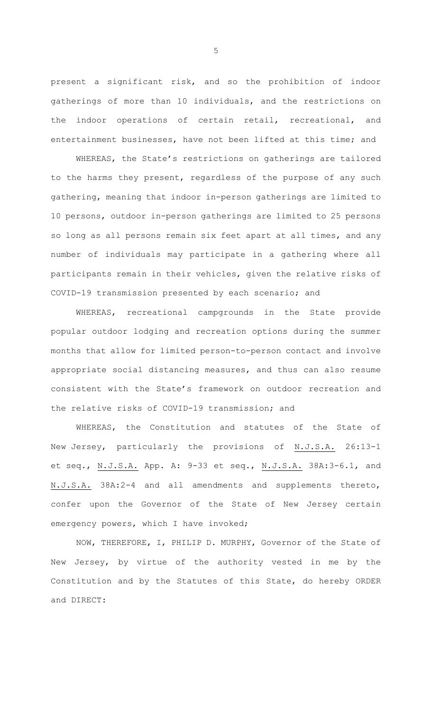present a significant risk, and so the prohibition of indoor gatherings of more than 10 individuals, and the restrictions on the indoor operations of certain retail, recreational, and entertainment businesses, have not been lifted at this time; and

WHEREAS, the State's restrictions on gatherings are tailored to the harms they present, regardless of the purpose of any such gathering, meaning that indoor in-person gatherings are limited to 10 persons, outdoor in-person gatherings are limited to 25 persons so long as all persons remain six feet apart at all times, and any number of individuals may participate in a gathering where all participants remain in their vehicles, given the relative risks of COVID-19 transmission presented by each scenario; and

WHEREAS, recreational campgrounds in the State provide popular outdoor lodging and recreation options during the summer months that allow for limited person-to-person contact and involve appropriate social distancing measures, and thus can also resume consistent with the State's framework on outdoor recreation and the relative risks of COVID-19 transmission; and

WHEREAS, the Constitution and statutes of the State of New Jersey, particularly the provisions of N.J.S.A. 26:13-1 et seq., N.J.S.A. App. A: 9-33 et seq., N.J.S.A. 38A:3-6.1, and N.J.S.A. 38A:2-4 and all amendments and supplements thereto, confer upon the Governor of the State of New Jersey certain emergency powers, which I have invoked;

NOW, THEREFORE, I, PHILIP D. MURPHY, Governor of the State of New Jersey, by virtue of the authority vested in me by the Constitution and by the Statutes of this State, do hereby ORDER and DIRECT: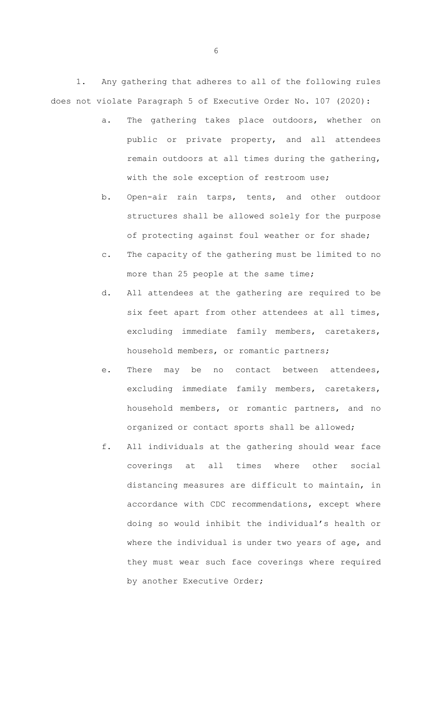1. Any gathering that adheres to all of the following rules does not violate Paragraph 5 of Executive Order No. 107 (2020):

- a. The gathering takes place outdoors, whether on public or private property, and all attendees remain outdoors at all times during the gathering, with the sole exception of restroom use;
- b. Open-air rain tarps, tents, and other outdoor structures shall be allowed solely for the purpose of protecting against foul weather or for shade;
- c. The capacity of the gathering must be limited to no more than 25 people at the same time;
- d. All attendees at the gathering are required to be six feet apart from other attendees at all times, excluding immediate family members, caretakers, household members, or romantic partners;
- e. There may be no contact between attendees, excluding immediate family members, caretakers, household members, or romantic partners, and no organized or contact sports shall be allowed;
- f. All individuals at the gathering should wear face coverings at all times where other social distancing measures are difficult to maintain, in accordance with CDC recommendations, except where doing so would inhibit the individual's health or where the individual is under two years of age, and they must wear such face coverings where required by another Executive Order;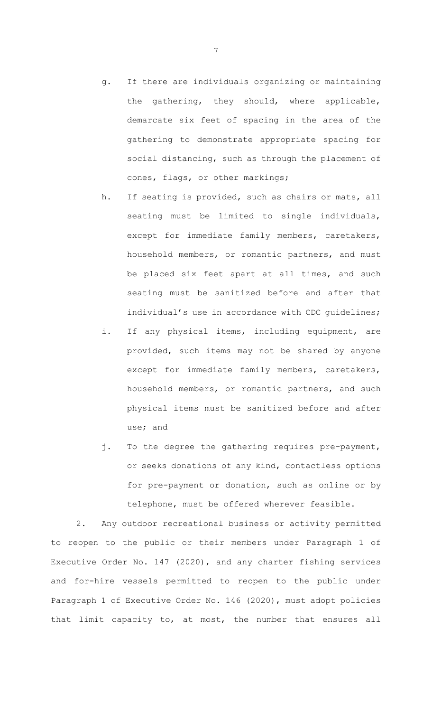- g. If there are individuals organizing or maintaining the gathering, they should, where applicable, demarcate six feet of spacing in the area of the gathering to demonstrate appropriate spacing for social distancing, such as through the placement of cones, flags, or other markings;
- h. If seating is provided, such as chairs or mats, all seating must be limited to single individuals, except for immediate family members, caretakers, household members, or romantic partners, and must be placed six feet apart at all times, and such seating must be sanitized before and after that individual's use in accordance with CDC quidelines;
- i. If any physical items, including equipment, are provided, such items may not be shared by anyone except for immediate family members, caretakers, household members, or romantic partners, and such physical items must be sanitized before and after use; and
- j. To the degree the gathering requires pre-payment, or seeks donations of any kind, contactless options for pre-payment or donation, such as online or by telephone, must be offered wherever feasible.

2. Any outdoor recreational business or activity permitted to reopen to the public or their members under Paragraph 1 of Executive Order No. 147 (2020), and any charter fishing services and for-hire vessels permitted to reopen to the public under Paragraph 1 of Executive Order No. 146 (2020), must adopt policies that limit capacity to, at most, the number that ensures all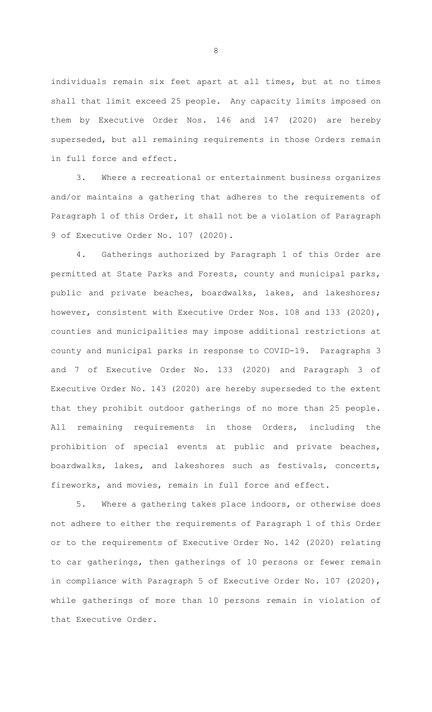individuals remain six feet apart at all times, but at no times shall that limit exceed 25 people. Any capacity limits imposed on them by Executive Order Nos. 146 and 147 (2020) are hereby superseded, but all remaining requirements in those Orders remain in full force and effect.

3. Where a recreational or entertainment business organizes and/or maintains a gathering that adheres to the requirements of Paragraph 1 of this Order, it shall not be a violation of Paragraph 9 of Executive Order No. 107 (2020).

4. Gatherings authorized by Paragraph 1 of this Order are permitted at State Parks and Forests, county and municipal parks, public and private beaches, boardwalks, lakes, and lakeshores; however, consistent with Executive Order Nos. 108 and 133 (2020), counties and municipalities may impose additional restrictions at county and municipal parks in response to COVID-19. Paragraphs 3 and 7 of Executive Order No. 133 (2020) and Paragraph 3 of Executive Order No. 143 (2020) are hereby superseded to the extent that they prohibit outdoor gatherings of no more than 25 people. All remaining requirements in those Orders, including the prohibition of special events at public and private beaches, boardwalks, lakes, and lakeshores such as festivals, concerts, fireworks, and movies, remain in full force and effect.

5. Where a gathering takes place indoors, or otherwise does not adhere to either the requirements of Paragraph 1 of this Order or to the requirements of Executive Order No. 142 (2020) relating to car gatherings, then gatherings of 10 persons or fewer remain in compliance with Paragraph 5 of Executive Order No. 107 (2020), while gatherings of more than 10 persons remain in violation of that Executive Order.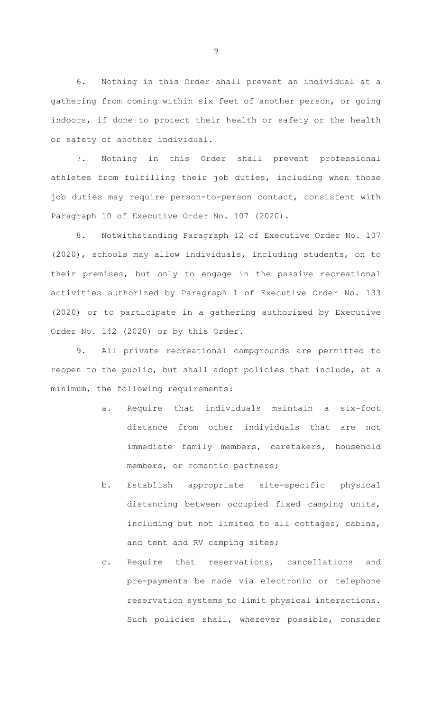6. Nothing in this Order shall prevent an individual at a gathering from coming within six feet of another person, or going indoors, if done to protect their health or safety or the health or safety of another individual.

7. Nothing in this Order shall prevent professional athletes from fulfilling their job duties, including when those job duties may require person-to-person contact, consistent with Paragraph 10 of Executive Order No. 107 (2020).

8. Notwithstanding Paragraph 12 of Executive Order No. 107 (2020), schools may allow individuals, including students, on to their premises, but only to engage in the passive recreational activities authorized by Paragraph 1 of Executive Order No. 133 (2020) or to participate in a gathering authorized by Executive Order No. 142 (2020) or by this Order.

9. All private recreational campgrounds are permitted to reopen to the public, but shall adopt policies that include, at a minimum, the following requirements:

- a. Require that individuals maintain a six-foot distance from other individuals that are not immediate family members, caretakers, household members, or romantic partners;
- b. Establish appropriate site-specific physical distancing between occupied fixed camping units, including but not limited to all cottages, cabins, and tent and RV camping sites;
- c. Require that reservations, cancellations and pre-payments be made via electronic or telephone reservation systems to limit physical interactions. Such policies shall, wherever possible, consider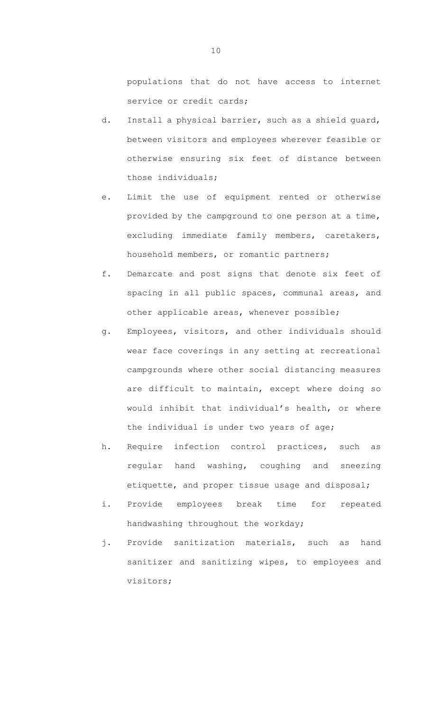populations that do not have access to internet service or credit cards;

- d. Install a physical barrier, such as a shield guard, between visitors and employees wherever feasible or otherwise ensuring six feet of distance between those individuals;
- e. Limit the use of equipment rented or otherwise provided by the campground to one person at a time, excluding immediate family members, caretakers, household members, or romantic partners;
- f. Demarcate and post signs that denote six feet of spacing in all public spaces, communal areas, and other applicable areas, whenever possible;
- g. Employees, visitors, and other individuals should wear face coverings in any setting at recreational campgrounds where other social distancing measures are difficult to maintain, except where doing so would inhibit that individual's health, or where the individual is under two years of age;
- h. Require infection control practices, such as regular hand washing, coughing and sneezing etiquette, and proper tissue usage and disposal;
- i. Provide employees break time for repeated handwashing throughout the workday;
- j. Provide sanitization materials, such as hand sanitizer and sanitizing wipes, to employees and visitors;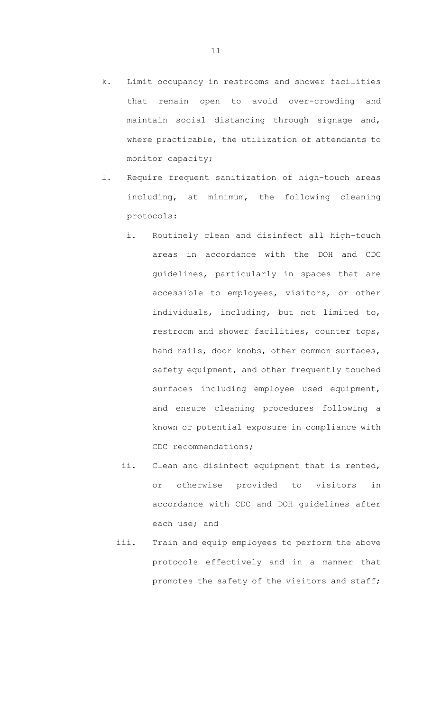- k. Limit occupancy in restrooms and shower facilities that remain open to avoid over-crowding and maintain social distancing through signage and, where practicable, the utilization of attendants to monitor capacity;
- l. Require frequent sanitization of high-touch areas including, at minimum, the following cleaning protocols:
	- i. Routinely clean and disinfect all high-touch areas in accordance with the DOH and CDC guidelines, particularly in spaces that are accessible to employees, visitors, or other individuals, including, but not limited to, restroom and shower facilities, counter tops, hand rails, door knobs, other common surfaces, safety equipment, and other frequently touched surfaces including employee used equipment, and ensure cleaning procedures following a known or potential exposure in compliance with CDC recommendations;
	- ii. Clean and disinfect equipment that is rented, or otherwise provided to visitors in accordance with CDC and DOH guidelines after each use; and
	- iii. Train and equip employees to perform the above protocols effectively and in a manner that promotes the safety of the visitors and staff;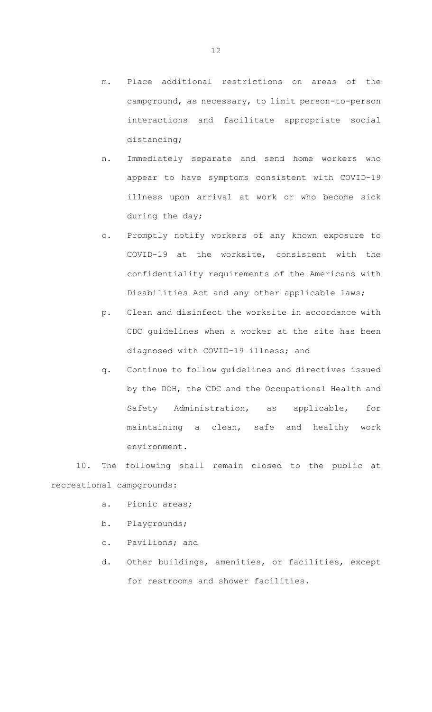- m. Place additional restrictions on areas of the campground, as necessary, to limit person-to-person interactions and facilitate appropriate social distancing;
- n. Immediately separate and send home workers who appear to have symptoms consistent with COVID-19 illness upon arrival at work or who become sick during the day;
- o. Promptly notify workers of any known exposure to COVID-19 at the worksite, consistent with the confidentiality requirements of the Americans with Disabilities Act and any other applicable laws;
- p. Clean and disinfect the worksite in accordance with CDC guidelines when a worker at the site has been diagnosed with COVID-19 illness; and
- q. Continue to follow guidelines and directives issued by the DOH, the CDC and the Occupational Health and Safety Administration, as applicable, for maintaining a clean, safe and healthy work environment.

10. The following shall remain closed to the public at recreational campgrounds:

- a. Picnic areas;
- b. Playgrounds;
- c. Pavilions; and
- d. Other buildings, amenities, or facilities, except for restrooms and shower facilities.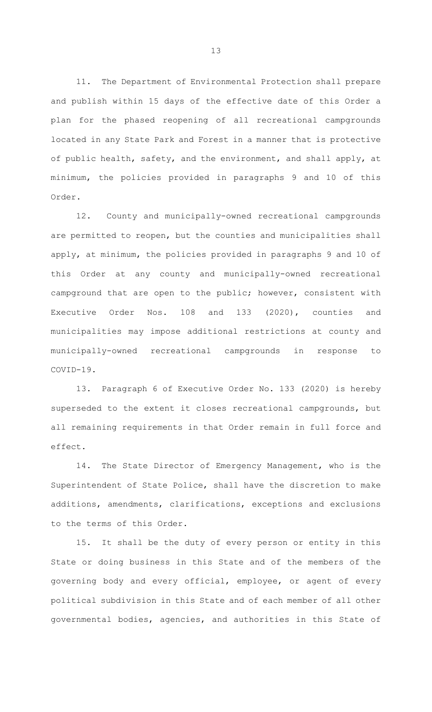11. The Department of Environmental Protection shall prepare and publish within 15 days of the effective date of this Order a plan for the phased reopening of all recreational campgrounds located in any State Park and Forest in a manner that is protective of public health, safety, and the environment, and shall apply, at minimum, the policies provided in paragraphs 9 and 10 of this Order.

12. County and municipally-owned recreational campgrounds are permitted to reopen, but the counties and municipalities shall apply, at minimum, the policies provided in paragraphs 9 and 10 of this Order at any county and municipally-owned recreational campground that are open to the public; however, consistent with Executive Order Nos. 108 and 133 (2020), counties and municipalities may impose additional restrictions at county and municipally-owned recreational campgrounds in response to COVID-19.

13. Paragraph 6 of Executive Order No. 133 (2020) is hereby superseded to the extent it closes recreational campgrounds, but all remaining requirements in that Order remain in full force and effect.

14. The State Director of Emergency Management, who is the Superintendent of State Police, shall have the discretion to make additions, amendments, clarifications, exceptions and exclusions to the terms of this Order.

15. It shall be the duty of every person or entity in this State or doing business in this State and of the members of the governing body and every official, employee, or agent of every political subdivision in this State and of each member of all other governmental bodies, agencies, and authorities in this State of